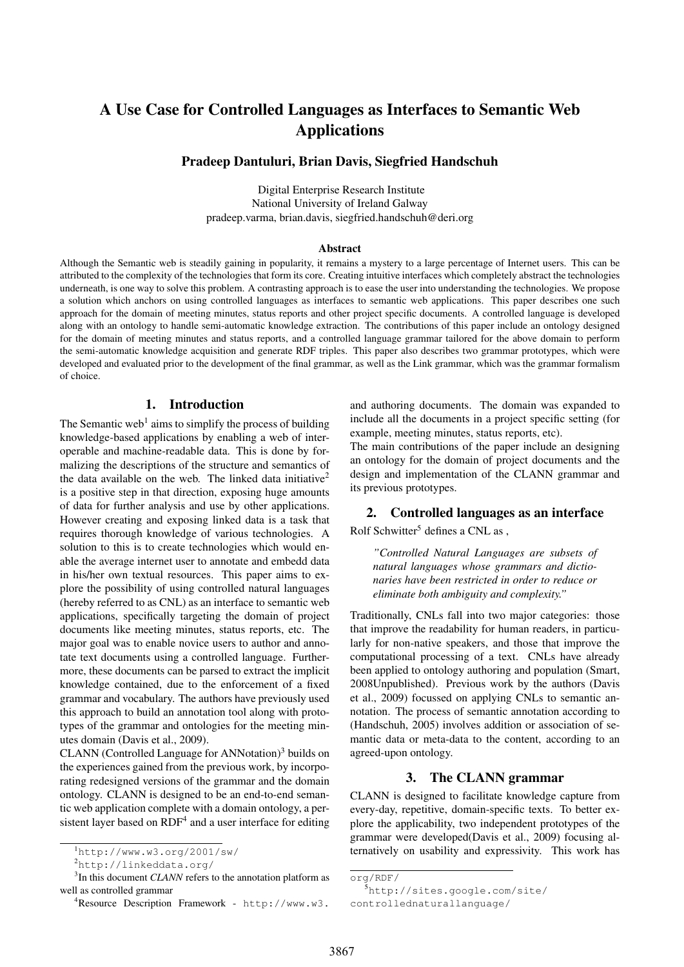# A Use Case for Controlled Languages as Interfaces to Semantic Web Applications

# Pradeep Dantuluri, Brian Davis, Siegfried Handschuh

Digital Enterprise Research Institute National University of Ireland Galway pradeep.varma, brian.davis, siegfried.handschuh@deri.org

#### **Abstract**

Although the Semantic web is steadily gaining in popularity, it remains a mystery to a large percentage of Internet users. This can be attributed to the complexity of the technologies that form its core. Creating intuitive interfaces which completely abstract the technologies underneath, is one way to solve this problem. A contrasting approach is to ease the user into understanding the technologies. We propose a solution which anchors on using controlled languages as interfaces to semantic web applications. This paper describes one such approach for the domain of meeting minutes, status reports and other project specific documents. A controlled language is developed along with an ontology to handle semi-automatic knowledge extraction. The contributions of this paper include an ontology designed for the domain of meeting minutes and status reports, and a controlled language grammar tailored for the above domain to perform the semi-automatic knowledge acquisition and generate RDF triples. This paper also describes two grammar prototypes, which were developed and evaluated prior to the development of the final grammar, as well as the Link grammar, which was the grammar formalism of choice.

# 1. Introduction

The Semantic web<sup>1</sup> aims to simplify the process of building knowledge-based applications by enabling a web of interoperable and machine-readable data. This is done by formalizing the descriptions of the structure and semantics of the data available on the web. The linked data initiative<sup>2</sup> is a positive step in that direction, exposing huge amounts of data for further analysis and use by other applications. However creating and exposing linked data is a task that requires thorough knowledge of various technologies. A solution to this is to create technologies which would enable the average internet user to annotate and embedd data in his/her own textual resources. This paper aims to explore the possibility of using controlled natural languages (hereby referred to as CNL) as an interface to semantic web applications, specifically targeting the domain of project documents like meeting minutes, status reports, etc. The major goal was to enable novice users to author and annotate text documents using a controlled language. Furthermore, these documents can be parsed to extract the implicit knowledge contained, due to the enforcement of a fixed grammar and vocabulary. The authors have previously used this approach to build an annotation tool along with prototypes of the grammar and ontologies for the meeting minutes domain (Davis et al., 2009).

 $CLANN$  (Controlled Language for ANNotation)<sup>3</sup> builds on the experiences gained from the previous work, by incorporating redesigned versions of the grammar and the domain ontology. CLANN is designed to be an end-to-end semantic web application complete with a domain ontology, a persistent layer based on RDF<sup>4</sup> and a user interface for editing

and authoring documents. The domain was expanded to include all the documents in a project specific setting (for example, meeting minutes, status reports, etc).

The main contributions of the paper include an designing an ontology for the domain of project documents and the design and implementation of the CLANN grammar and its previous prototypes.

# 2. Controlled languages as an interface

Rolf Schwitter<sup>5</sup> defines a CNL as,

*"Controlled Natural Languages are subsets of natural languages whose grammars and dictionaries have been restricted in order to reduce or eliminate both ambiguity and complexity."*

Traditionally, CNLs fall into two major categories: those that improve the readability for human readers, in particularly for non-native speakers, and those that improve the computational processing of a text. CNLs have already been applied to ontology authoring and population (Smart, 2008Unpublished). Previous work by the authors (Davis et al., 2009) focussed on applying CNLs to semantic annotation. The process of semantic annotation according to (Handschuh, 2005) involves addition or association of semantic data or meta-data to the content, according to an agreed-upon ontology.

# 3. The CLANN grammar

CLANN is designed to facilitate knowledge capture from every-day, repetitive, domain-specific texts. To better explore the applicability, two independent prototypes of the grammar were developed(Davis et al., 2009) focusing alternatively on usability and expressivity. This work has

 $<sup>1</sup>$ http://www.w3.org/2001/sw/</sup>

<sup>2</sup>http://linkeddata.org/

<sup>&</sup>lt;sup>3</sup>In this document *CLANN* refers to the annotation platform as well as controlled grammar

<sup>4</sup>Resource Description Framework - http://www.w3.

org/RDF/

<sup>5</sup>http://sites.google.com/site/ controllednaturallanguage/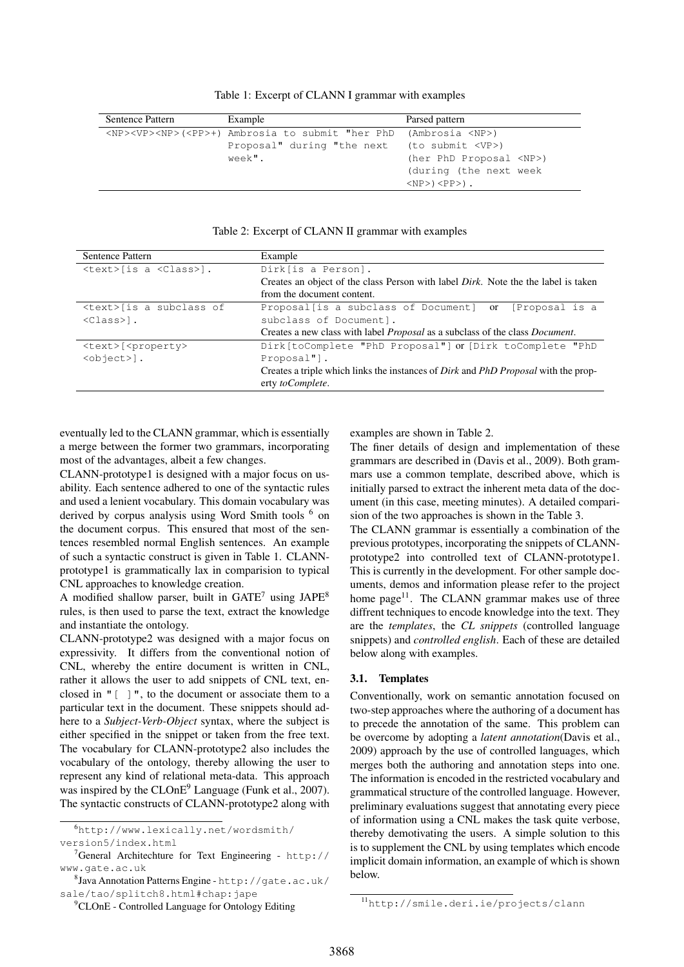| Sentence Pattern | Example                                                                                  | Parsed pattern                   |
|------------------|------------------------------------------------------------------------------------------|----------------------------------|
|                  | <np><vp><np>(<pp>+) Ambrosia to submit "her PhD (Ambrosia <np>)</np></pp></np></vp></np> |                                  |
|                  | Proposal" during "the next                                                               | (to submit <vp>)</vp>            |
|                  | week".                                                                                   | (her PhD Proposal <np>)</np>     |
|                  |                                                                                          | (during (the next week)          |
|                  |                                                                                          | $<\text{NP}$ >) $<\text{PP}$ >). |

Table 1: Excerpt of CLANN I grammar with examples

Table 2: Excerpt of CLANN II grammar with examples

| Sentence Pattern                            | Example                                                                                          |
|---------------------------------------------|--------------------------------------------------------------------------------------------------|
| <text>[is a <class>].</class></text>        | Dirk [is a Person].                                                                              |
|                                             | Creates an object of the class Person with label <i>Dirk</i> . Note the the label is taken       |
|                                             | from the document content.                                                                       |
| <text>[is a subclass of</text>              | Proposal [is a subclass of Document] or [Proposal is a                                           |
| $\langle Class> \rangle$ .                  | subclass of Document].                                                                           |
|                                             | Creates a new class with label <i>Proposal</i> as a subclass of the class <i>Document</i> .      |
| <text>[<property></property></text>         | Dirk [toComplete "PhD Proposal"] or [Dirk toComplete "PhD                                        |
| $\left\langle \text{object}\right\rangle$ . | $Proposal"$ .                                                                                    |
|                                             | Creates a triple which links the instances of <i>Dirk</i> and <i>PhD Proposal</i> with the prop- |
|                                             | erty to Complete.                                                                                |

eventually led to the CLANN grammar, which is essentially a merge between the former two grammars, incorporating most of the advantages, albeit a few changes.

CLANN-prototype1 is designed with a major focus on usability. Each sentence adhered to one of the syntactic rules and used a lenient vocabulary. This domain vocabulary was derived by corpus analysis using Word Smith tools <sup>6</sup> on the document corpus. This ensured that most of the sentences resembled normal English sentences. An example of such a syntactic construct is given in Table 1. CLANNprototype1 is grammatically lax in comparision to typical CNL approaches to knowledge creation.

A modified shallow parser, built in  $GATE<sup>7</sup>$  using  $JAPE<sup>8</sup>$ rules, is then used to parse the text, extract the knowledge and instantiate the ontology.

CLANN-prototype2 was designed with a major focus on expressivity. It differs from the conventional notion of CNL, whereby the entire document is written in CNL, rather it allows the user to add snippets of CNL text, enclosed in  $"$ [ ]", to the document or associate them to a particular text in the document. These snippets should adhere to a *Subject-Verb-Object* syntax, where the subject is either specified in the snippet or taken from the free text. The vocabulary for CLANN-prototype2 also includes the vocabulary of the ontology, thereby allowing the user to represent any kind of relational meta-data. This approach was inspired by the CLOnE<sup>9</sup> Language (Funk et al., 2007). The syntactic constructs of CLANN-prototype2 along with

<sup>6</sup>http://www.lexically.net/wordsmith/ version5/index.html

examples are shown in Table 2.

The finer details of design and implementation of these grammars are described in (Davis et al., 2009). Both grammars use a common template, described above, which is initially parsed to extract the inherent meta data of the document (in this case, meeting minutes). A detailed comparision of the two approaches is shown in the Table 3.

The CLANN grammar is essentially a combination of the previous prototypes, incorporating the snippets of CLANNprototype2 into controlled text of CLANN-prototype1. This is currently in the development. For other sample documents, demos and information please refer to the project home page<sup>11</sup>. The CLANN grammar makes use of three diffrent techniques to encode knowledge into the text. They are the *templates*, the *CL snippets* (controlled language snippets) and *controlled english*. Each of these are detailed below along with examples.

#### 3.1. Templates

Conventionally, work on semantic annotation focused on two-step approaches where the authoring of a document has to precede the annotation of the same. This problem can be overcome by adopting a *latent annotation*(Davis et al., 2009) approach by the use of controlled languages, which merges both the authoring and annotation steps into one. The information is encoded in the restricted vocabulary and grammatical structure of the controlled language. However, preliminary evaluations suggest that annotating every piece of information using a CNL makes the task quite verbose, thereby demotivating the users. A simple solution to this is to supplement the CNL by using templates which encode implicit domain information, an example of which is shown below.

<sup>&</sup>lt;sup>7</sup>General Architechture for Text Engineering - http:// www.gate.ac.uk

<sup>8</sup> Java Annotation Patterns Engine - http://gate.ac.uk/ sale/tao/splitch8.html#chap:jape

<sup>&</sup>lt;sup>9</sup>CLOnE - Controlled Language for Ontology Editing

<sup>11</sup>http://smile.deri.ie/projects/clann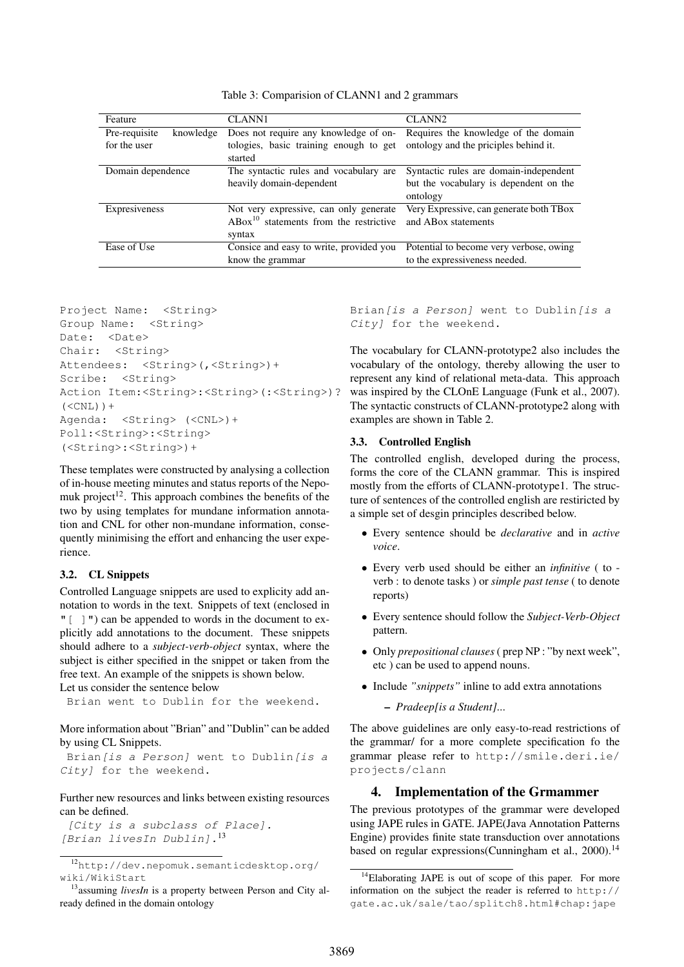| Feature           |           | <b>CLANN1</b>                            | CLANN <sub>2</sub>                      |
|-------------------|-----------|------------------------------------------|-----------------------------------------|
| Pre-requisite     | knowledge | Does not require any knowledge of on-    | Requires the knowledge of the domain    |
| for the user      |           | tologies, basic training enough to get   | ontology and the priciples behind it.   |
|                   |           | started                                  |                                         |
| Domain dependence |           | The syntactic rules and vocabulary are.  | Syntactic rules are domain-independent  |
|                   |           | heavily domain-dependent                 | but the vocabulary is dependent on the  |
|                   |           |                                          | ontology                                |
| Expresiveness     |           | Not very expressive, can only generate   | Very Expressive, can generate both TBox |
|                   |           | $ABox10$ statements from the restrictive | and ABox statements                     |
|                   |           | syntax                                   |                                         |
| Ease of Use       |           | Consice and easy to write, provided you  | Potential to become very verbose, owing |
|                   |           | know the grammar                         | to the expressiveness needed.           |

Table 3: Comparision of CLANN1 and 2 grammars

```
Project Name: <String>
Group Name: <String>
Date: <Date>
Chair: <String>
Attendees: <String>(,<String>)+
Scribe: <String>
Action Item:<String>:<String>(:<String>)?
(<CNL)) +
Agenda: <String> (<CNL>)+
Poll:<String>:<String>
(<String>:<String>)+
```
These templates were constructed by analysing a collection of in-house meeting minutes and status reports of the Nepomuk project<sup>12</sup>. This approach combines the benefits of the two by using templates for mundane information annotation and CNL for other non-mundane information, consequently minimising the effort and enhancing the user experience.

### 3.2. CL Snippets

Controlled Language snippets are used to explicity add annotation to words in the text. Snippets of text (enclosed in " $[$  ]") can be appended to words in the document to explicitly add annotations to the document. These snippets should adhere to a *subject-verb-object* syntax, where the subject is either specified in the snippet or taken from the free text. An example of the snippets is shown below.

Let us consider the sentence below

Brian went to Dublin for the weekend.

More information about "Brian" and "Dublin" can be added by using CL Snippets.

Brian[is a Person] went to Dublin[is a City] for the weekend.

Further new resources and links between existing resources can be defined.

[City is a subclass of Place]. [Brian livesIn Dublin].<sup>13</sup>

Brian[is a Person] went to Dublin[is a City] for the weekend.

The vocabulary for CLANN-prototype2 also includes the vocabulary of the ontology, thereby allowing the user to represent any kind of relational meta-data. This approach was inspired by the CLOnE Language (Funk et al., 2007). The syntactic constructs of CLANN-prototype2 along with examples are shown in Table 2.

#### 3.3. Controlled English

The controlled english, developed during the process, forms the core of the CLANN grammar. This is inspired mostly from the efforts of CLANN-prototype1. The structure of sentences of the controlled english are restiricted by a simple set of desgin principles described below.

- Every sentence should be *declarative* and in *active voice*.
- Every verb used should be either an *infinitive* ( to verb : to denote tasks ) or *simple past tense* ( to denote reports)
- Every sentence should follow the *Subject-Verb-Object* pattern.
- Only *prepositional clauses*( prep NP : "by next week", etc ) can be used to append nouns.
- Include *"snippets"* inline to add extra annotations

– *Pradeep[is a Student]*...

The above guidelines are only easy-to-read restrictions of the grammar/ for a more complete specification fo the grammar please refer to http://smile.deri.ie/ projects/clann

#### 4. Implementation of the Grmammer

The previous prototypes of the grammar were developed using JAPE rules in GATE. JAPE(Java Annotation Patterns Engine) provides finite state transduction over annotations based on regular expressions (Cunningham et al., 2000).<sup>14</sup>

<sup>12</sup>http://dev.nepomuk.semanticdesktop.org/ wiki/WikiStart

<sup>&</sup>lt;sup>13</sup> assuming *livesIn* is a property between Person and City already defined in the domain ontology

<sup>&</sup>lt;sup>14</sup>Elaborating JAPE is out of scope of this paper. For more information on the subject the reader is referred to http:// gate.ac.uk/sale/tao/splitch8.html#chap:jape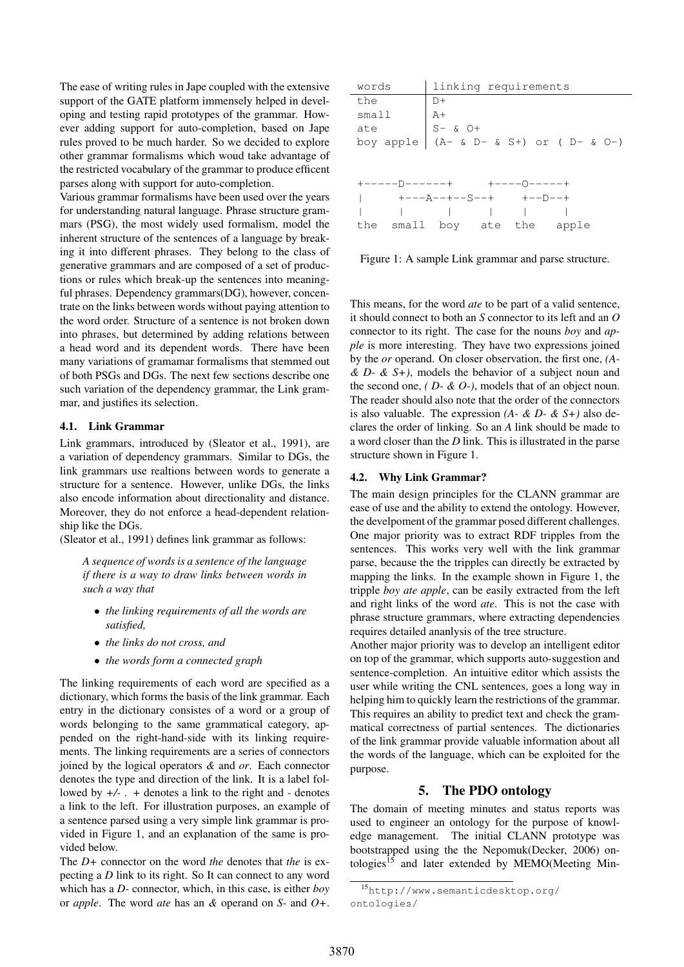The ease of writing rules in Jape coupled with the extensive support of the GATE platform immensely helped in developing and testing rapid prototypes of the grammar. However adding support for auto-completion, based on Jape rules proved to be much harder. So we decided to explore other grammar formalisms which woud take advantage of the restricted vocabulary of the grammar to produce efficent parses along with support for auto-completion.

Various grammar formalisms have been used over the years for understanding natural language. Phrase structure grammars (PSG), the most widely used formalism, model the inherent structure of the sentences of a language by breaking it into different phrases. They belong to the class of generative grammars and are composed of a set of productions or rules which break-up the sentences into meaningful phrases. Dependency grammars(DG), however, concentrate on the links between words without paying attention to the word order. Structure of a sentence is not broken down into phrases, but determined by adding relations between a head word and its dependent words. There have been many variations of gramamar formalisms that stemmed out of both PSGs and DGs. The next few sections describe one such variation of the dependency grammar, the Link grammar, and justifies its selection.

#### 4.1. Link Grammar

Link grammars, introduced by (Sleator et al., 1991), are a variation of dependency grammars. Similar to DGs, the link grammars use realtions between words to generate a structure for a sentence. However, unlike DGs, the links also encode information about directionality and distance. Moreover, they do not enforce a head-dependent relationship like the DGs.

(Sleator et al., 1991) defines link grammar as follows:

*A sequence of words is a sentence of the language if there is a way to draw links between words in such a way that*

- *the linking requirements of all the words are satisfied,*
- *the links do not cross, and*
- *the words form a connected graph*

The linking requirements of each word are specified as a dictionary, which forms the basis of the link grammar. Each entry in the dictionary consistes of a word or a group of words belonging to the same grammatical category, appended on the right-hand-side with its linking requirements. The linking requirements are a series of connectors joined by the logical operators *&* and *or*. Each connector denotes the type and direction of the link. It is a label followed by *+/-* . *+* denotes a link to the right and *-* denotes a link to the left. For illustration purposes, an example of a sentence parsed using a very simple link grammar is provided in Figure 1, and an explanation of the same is provided below.

The *D+* connector on the word *the* denotes that *the* is expecting a *D* link to its right. So It can connect to any word which has a *D-* connector, which, in this case, is either *boy* or *apple*. The word *ate* has an *&* operand on *S-* and *O+*.

| words                         | linking requirements                                               |  |
|-------------------------------|--------------------------------------------------------------------|--|
| the                           | $D+$                                                               |  |
| small                         | $A+$                                                               |  |
|                               |                                                                    |  |
|                               | ate $S - \& 0+$<br>boy apple $(A - \& D - \& S+)$ or $(D - \& O-)$ |  |
|                               |                                                                    |  |
|                               |                                                                    |  |
| +-----D------+   +----0-----+ |                                                                    |  |
| $+---A---S---+$ $+---D---+$   |                                                                    |  |
|                               |                                                                    |  |
|                               | the small boy ate the apple                                        |  |
|                               |                                                                    |  |

Figure 1: A sample Link grammar and parse structure.

This means, for the word *ate* to be part of a valid sentence, it should connect to both an *S* connector to its left and an *O* connector to its right. The case for the nouns *boy* and *apple* is more interesting. They have two expressions joined by the *or* operand. On closer observation, the first one, *(A- & D- & S+)*, models the behavior of a subject noun and the second one, *( D- & O-)*, models that of an object noun. The reader should also note that the order of the connectors is also valuable. The expression *(A- & D- & S+)* also declares the order of linking. So an *A* link should be made to a word closer than the *D* link. This is illustrated in the parse structure shown in Figure 1.

#### 4.2. Why Link Grammar?

The main design principles for the CLANN grammar are ease of use and the ability to extend the ontology. However, the develpoment of the grammar posed different challenges. One major priority was to extract RDF tripples from the sentences. This works very well with the link grammar parse, because the the tripples can directly be extracted by mapping the links. In the example shown in Figure 1, the tripple *boy ate apple*, can be easily extracted from the left and right links of the word *ate*. This is not the case with phrase structure grammars, where extracting dependencies requires detailed ananlysis of the tree structure.

Another major priority was to develop an intelligent editor on top of the grammar, which supports auto-suggestion and sentence-completion. An intuitive editor which assists the user while writing the CNL sentences, goes a long way in helping him to quickly learn the restrictions of the grammar. This requires an ability to predict text and check the grammatical correctness of partial sentences. The dictionaries of the link grammar provide valuable information about all the words of the language, which can be exploited for the purpose.

### 5. The PDO ontology

The domain of meeting minutes and status reports was used to engineer an ontology for the purpose of knowledge management. The initial CLANN prototype was bootstrapped using the the Nepomuk(Decker, 2006) ontologies<sup>15</sup> and later extended by MEMO(Meeting Min-

<sup>15</sup>http://www.semanticdesktop.org/ ontologies/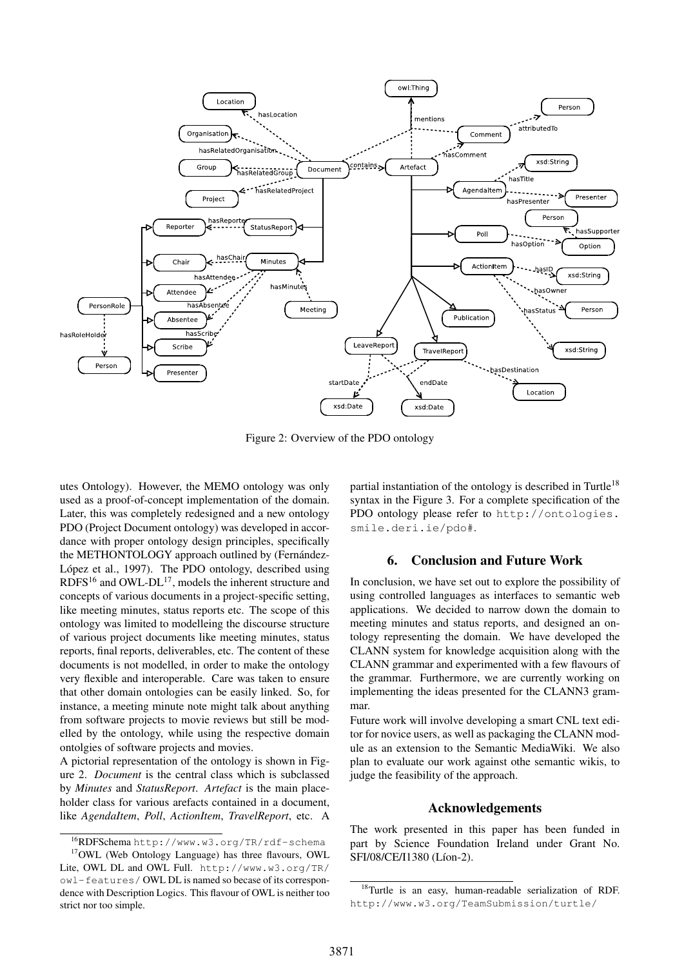

Figure 2: Overview of the PDO ontology

utes Ontology). However, the MEMO ontology was only used as a proof-of-concept implementation of the domain. Later, this was completely redesigned and a new ontology PDO (Project Document ontology) was developed in accordance with proper ontology design principles, specifically the METHONTOLOGY approach outlined by (Fernández-López et al., 1997). The PDO ontology, described using RDFS $^{16}$  and OWL-DL $^{17}$ , models the inherent structure and concepts of various documents in a project-specific setting, like meeting minutes, status reports etc. The scope of this ontology was limited to modelleing the discourse structure of various project documents like meeting minutes, status reports, final reports, deliverables, etc. The content of these documents is not modelled, in order to make the ontology very flexible and interoperable. Care was taken to ensure that other domain ontologies can be easily linked. So, for instance, a meeting minute note might talk about anything from software projects to movie reviews but still be modelled by the ontology, while using the respective domain ontolgies of software projects and movies.

A pictorial representation of the ontology is shown in Figure 2. *Document* is the central class which is subclassed by *Minutes* and *StatusReport*. *Artefact* is the main placeholder class for various arefacts contained in a document, like *AgendaItem*, *Poll*, *ActionItem*, *TravelReport*, etc. A

<sup>16</sup>RDFSchema http://www.w3.org/TR/rdf-schema

partial instantiation of the ontology is described in Turtle<sup>18</sup> syntax in the Figure 3. For a complete specification of the PDO ontology please refer to http://ontologies. smile.deri.ie/pdo#.

#### 6. Conclusion and Future Work

In conclusion, we have set out to explore the possibility of using controlled languages as interfaces to semantic web applications. We decided to narrow down the domain to meeting minutes and status reports, and designed an ontology representing the domain. We have developed the CLANN system for knowledge acquisition along with the CLANN grammar and experimented with a few flavours of the grammar. Furthermore, we are currently working on implementing the ideas presented for the CLANN3 grammar.

Future work will involve developing a smart CNL text editor for novice users, as well as packaging the CLANN module as an extension to the Semantic MediaWiki. We also plan to evaluate our work against othe semantic wikis, to judge the feasibility of the approach.

#### Acknowledgements

The work presented in this paper has been funded in part by Science Foundation Ireland under Grant No. SFI/08/CE/I1380 (Líon-2).

<sup>17</sup>OWL (Web Ontology Language) has three flavours, OWL Lite, OWL DL and OWL Full. http://www.w3.org/TR/ owl-features/ OWL DL is named so becase of its correspondence with Description Logics. This flavour of OWL is neither too strict nor too simple.

<sup>&</sup>lt;sup>18</sup>Turtle is an easy, human-readable serialization of RDF. http://www.w3.org/TeamSubmission/turtle/